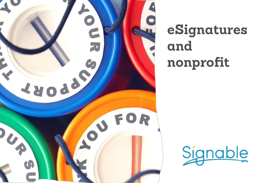

# **eSignatures and nonprofit**

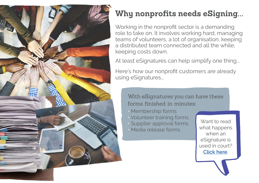

## **Why nonprofits needs eSigning...**

Working in the nonprofit sector is a demanding role to take on. It involves working hard, managing teams of volunteers, a lot of organisation, keeping a distributed team connected and all the while; keeping costs down.

At least eSignatures can help simplify one thing...

Here's how our nonprofit customers are already using eSignatures...

With eSignatures you can have these forms finished in minutes:

- Membership forms
- Volunteer training forms
- Supplier approval forms
- Media release forms

Want to read what happens when an eSignature is used in court? **[Click here](https://www.signable.co.uk/blog/can-electronic-signatures-be-used-in-court)**.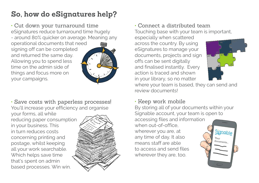## **So, how do eSignatures help?**

• Cut down your turnaround time eSignatures reduce turnaround time hugely - around 80% quicker on average. Meaning any operational documents that need signing off can be completed and returned the same day. Allowing you to spend less time on the admin side of things and focus more on your campaigns.



• Save costs with paperless processes! You'll increase your efficiency and organise your forms, all while

reducing paper consumption in your business. This in turn reduces costs concerning printing and postage, whilst keeping all your work searchable. Which helps save time that's spent on admin based processes. Win win.



#### • Connect a distributed team

Touching base with your team is important,

especially when scattered across the country. By using eSignatures to manage your documents, projects and sign offs can be sent digitally and finalised instantly. Every action is traced and shown in your library, so no matter



where your team is based, they can send and review documents!

#### • Keep work mobile

By storing all of your documents within your Signable account, your team is open to accessing files and information when out-of-office. wherever you are, at Signable any time of day. It also Your documents means staff are able to access and send files wherever they are, too.